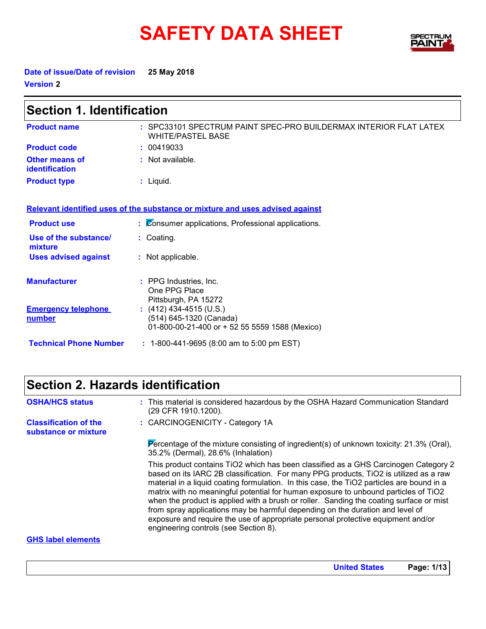# SAFETY DATA SHEET SPECTRY



**United States Page: 1/13**

**Date of issue/Date of revision 25 May 2018 Version 2**

| <b>Section 1. Identification</b>        |                                                                                                      |  |
|-----------------------------------------|------------------------------------------------------------------------------------------------------|--|
| <b>Product name</b>                     | : SPC33101 SPECTRUM PAINT SPEC-PRO BUILDERMAX INTERIOR FLAT LATEX<br><b>WHITE/PASTEL BASE</b>        |  |
| <b>Product code</b>                     | : 00419033                                                                                           |  |
| Other means of<br><b>identification</b> | $:$ Not available.                                                                                   |  |
| <b>Product type</b>                     | $:$ Liquid.                                                                                          |  |
|                                         | Relevant identified uses of the substance or mixture and uses advised against                        |  |
| <b>Product use</b>                      | : Consumer applications, Professional applications.                                                  |  |
| Use of the substance/<br>mixture        | : Coating.                                                                                           |  |
| <b>Uses advised against</b>             | : Not applicable.                                                                                    |  |
| <b>Manufacturer</b>                     | : PPG Industries, Inc.<br>One PPG Place<br>Pittsburgh, PA 15272                                      |  |
| <b>Emergency telephone</b><br>number    | $(412)$ 434-4515 (U.S.)<br>(514) 645-1320 (Canada)<br>01-800-00-21-400 or + 52 55 5559 1588 (Mexico) |  |
| <b>Technical Phone Number</b>           | $: 1-800-441-9695 (8:00 am to 5:00 pm EST)$                                                          |  |

### **Section 2. Hazards identification**

| <b>OSHA/HCS status</b>                               | : This material is considered hazardous by the OSHA Hazard Communication Standard<br>(29 CFR 1910.1200).                                                                                                                                                                                                                                                                                                                                                                                                                                                                                                                                                                  |
|------------------------------------------------------|---------------------------------------------------------------------------------------------------------------------------------------------------------------------------------------------------------------------------------------------------------------------------------------------------------------------------------------------------------------------------------------------------------------------------------------------------------------------------------------------------------------------------------------------------------------------------------------------------------------------------------------------------------------------------|
| <b>Classification of the</b><br>substance or mixture | : CARCINOGENICITY - Category 1A                                                                                                                                                                                                                                                                                                                                                                                                                                                                                                                                                                                                                                           |
|                                                      | Percentage of the mixture consisting of ingredient(s) of unknown toxicity: $21.3\%$ (Oral),<br>35.2% (Dermal), 28.6% (Inhalation)                                                                                                                                                                                                                                                                                                                                                                                                                                                                                                                                         |
|                                                      | This product contains TiO2 which has been classified as a GHS Carcinogen Category 2<br>based on its IARC 2B classification. For many PPG products, TiO2 is utilized as a raw<br>material in a liquid coating formulation. In this case, the TiO2 particles are bound in a<br>matrix with no meaningful potential for human exposure to unbound particles of TiO2<br>when the product is applied with a brush or roller. Sanding the coating surface or mist<br>from spray applications may be harmful depending on the duration and level of<br>exposure and require the use of appropriate personal protective equipment and/or<br>engineering controls (see Section 8). |
| <b>GHS label elements</b>                            |                                                                                                                                                                                                                                                                                                                                                                                                                                                                                                                                                                                                                                                                           |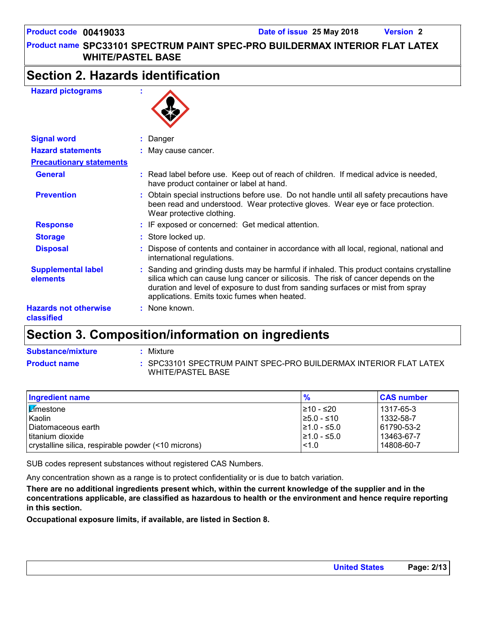### **Section 2. Hazards identification**

#### **Hazard pictograms :**



| <b>Signal word</b>                           | : Danger                                                                                                                                                                                                                                                                                                           |
|----------------------------------------------|--------------------------------------------------------------------------------------------------------------------------------------------------------------------------------------------------------------------------------------------------------------------------------------------------------------------|
| <b>Hazard statements</b>                     | : May cause cancer.                                                                                                                                                                                                                                                                                                |
| <b>Precautionary statements</b>              |                                                                                                                                                                                                                                                                                                                    |
| <b>General</b>                               | : Read label before use. Keep out of reach of children. If medical advice is needed,<br>have product container or label at hand.                                                                                                                                                                                   |
| <b>Prevention</b>                            | : Obtain special instructions before use. Do not handle until all safety precautions have<br>been read and understood. Wear protective gloves. Wear eye or face protection.<br>Wear protective clothing.                                                                                                           |
| <b>Response</b>                              | : IF exposed or concerned: Get medical attention.                                                                                                                                                                                                                                                                  |
| <b>Storage</b>                               | : Store locked up.                                                                                                                                                                                                                                                                                                 |
| <b>Disposal</b>                              | : Dispose of contents and container in accordance with all local, regional, national and<br>international regulations.                                                                                                                                                                                             |
| <b>Supplemental label</b><br><b>elements</b> | : Sanding and grinding dusts may be harmful if inhaled. This product contains crystalline<br>silica which can cause lung cancer or silicosis. The risk of cancer depends on the<br>duration and level of exposure to dust from sanding surfaces or mist from spray<br>applications. Emits toxic fumes when heated. |
| <b>Hazards not otherwise</b><br>classified   | : None known.                                                                                                                                                                                                                                                                                                      |

### **Section 3. Composition/information on ingredients**

| <b>Substance/mixture</b> | Mixture                                                                                |
|--------------------------|----------------------------------------------------------------------------------------|
| <b>Product name</b>      | : SPC33101 SPECTRUM PAINT SPEC-PRO BUILDERMAX INTERIOR FLAT LATEX<br>WHITE/PASTEL BASE |

| Ingredient name                                     | $\frac{9}{6}$    | <b>CAS number</b> |
|-----------------------------------------------------|------------------|-------------------|
| <b>E</b> mestone                                    | l≥10 - ≤20       | 1317-65-3         |
| Kaolin                                              | $\geq 5.0 - 510$ | 1332-58-7         |
| Diatomaceous earth                                  | $\geq 1.0 - 5.0$ | 61790-53-2        |
| titanium dioxide                                    | $\geq 1.0 - 5.0$ | 13463-67-7        |
| crystalline silica, respirable powder (<10 microns) | < 1.0            | 14808-60-7        |

SUB codes represent substances without registered CAS Numbers.

Any concentration shown as a range is to protect confidentiality or is due to batch variation.

**There are no additional ingredients present which, within the current knowledge of the supplier and in the concentrations applicable, are classified as hazardous to health or the environment and hence require reporting in this section.**

**Occupational exposure limits, if available, are listed in Section 8.**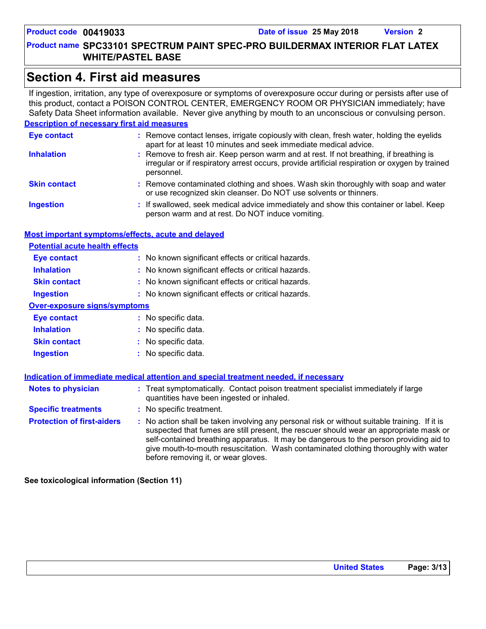### **Section 4. First aid measures**

If ingestion, irritation, any type of overexposure or symptoms of overexposure occur during or persists after use of this product, contact a POISON CONTROL CENTER, EMERGENCY ROOM OR PHYSICIAN immediately; have Safety Data Sheet information available. Never give anything by mouth to an unconscious or convulsing person.

#### **Description of necessary first aid measures**

| <b>Eye contact</b>  | : Remove contact lenses, irrigate copiously with clean, fresh water, holding the eyelids<br>apart for at least 10 minutes and seek immediate medical advice.                                           |
|---------------------|--------------------------------------------------------------------------------------------------------------------------------------------------------------------------------------------------------|
| <b>Inhalation</b>   | : Remove to fresh air. Keep person warm and at rest. If not breathing, if breathing is<br>irregular or if respiratory arrest occurs, provide artificial respiration or oxygen by trained<br>personnel. |
| <b>Skin contact</b> | : Remove contaminated clothing and shoes. Wash skin thoroughly with soap and water<br>or use recognized skin cleanser. Do NOT use solvents or thinners.                                                |
| <b>Ingestion</b>    | : If swallowed, seek medical advice immediately and show this container or label. Keep<br>person warm and at rest. Do NOT induce vomiting.                                                             |

#### **Most important symptoms/effects, acute and delayed**

| <b>Potential acute health effects</b> |                                                     |  |
|---------------------------------------|-----------------------------------------------------|--|
| <b>Eye contact</b>                    | : No known significant effects or critical hazards. |  |
| <b>Inhalation</b>                     | : No known significant effects or critical hazards. |  |
| <b>Skin contact</b>                   | : No known significant effects or critical hazards. |  |
| <b>Ingestion</b>                      | : No known significant effects or critical hazards. |  |
| <b>Over-exposure signs/symptoms</b>   |                                                     |  |
| Eye contact                           | : No specific data.                                 |  |
| <b>Inhalation</b>                     | : No specific data.                                 |  |
| <b>Skin contact</b>                   | : No specific data.                                 |  |
| <b>Ingestion</b>                      | No specific data.                                   |  |

|                                   | Indication of immediate medical attention and special treatment needed, if necessary                                                                                                                                                                                                                                                                                                                            |
|-----------------------------------|-----------------------------------------------------------------------------------------------------------------------------------------------------------------------------------------------------------------------------------------------------------------------------------------------------------------------------------------------------------------------------------------------------------------|
| <b>Notes to physician</b>         | : Treat symptomatically. Contact poison treatment specialist immediately if large<br>quantities have been ingested or inhaled.                                                                                                                                                                                                                                                                                  |
| <b>Specific treatments</b>        | : No specific treatment.                                                                                                                                                                                                                                                                                                                                                                                        |
| <b>Protection of first-aiders</b> | : No action shall be taken involving any personal risk or without suitable training. If it is<br>suspected that fumes are still present, the rescuer should wear an appropriate mask or<br>self-contained breathing apparatus. It may be dangerous to the person providing aid to<br>give mouth-to-mouth resuscitation. Wash contaminated clothing thoroughly with water<br>before removing it, or wear gloves. |

**See toxicological information (Section 11)**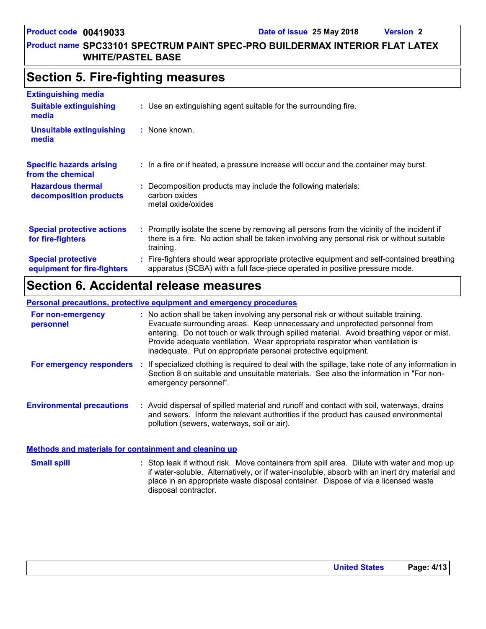#### **Product name SPC33101 SPECTRUM PAINT SPEC-PRO BUILDERMAX INTERIOR FLAT LATEX WHITE/PASTEL BASE**

### **Section 5. Fire-fighting measures**

| <b>Extinguishing media</b>                               |                                                                                                                                                                                                     |  |
|----------------------------------------------------------|-----------------------------------------------------------------------------------------------------------------------------------------------------------------------------------------------------|--|
| <b>Suitable extinguishing</b><br>media                   | : Use an extinguishing agent suitable for the surrounding fire.                                                                                                                                     |  |
| <b>Unsuitable extinguishing</b><br>media                 | : None known.                                                                                                                                                                                       |  |
| <b>Specific hazards arising</b><br>from the chemical     | : In a fire or if heated, a pressure increase will occur and the container may burst.                                                                                                               |  |
| <b>Hazardous thermal</b><br>decomposition products       | Decomposition products may include the following materials:<br>carbon oxides<br>metal oxide/oxides                                                                                                  |  |
| <b>Special protective actions</b><br>for fire-fighters   | : Promptly isolate the scene by removing all persons from the vicinity of the incident if<br>there is a fire. No action shall be taken involving any personal risk or without suitable<br>training. |  |
| <b>Special protective</b><br>equipment for fire-fighters | : Fire-fighters should wear appropriate protective equipment and self-contained breathing<br>apparatus (SCBA) with a full face-piece operated in positive pressure mode.                            |  |

### **Section 6. Accidental release measures**

#### **Personal precautions, protective equipment and emergency procedures**

| For non-emergency<br>personnel   |     | : No action shall be taken involving any personal risk or without suitable training.<br>Evacuate surrounding areas. Keep unnecessary and unprotected personnel from<br>entering. Do not touch or walk through spilled material. Avoid breathing vapor or mist.<br>Provide adequate ventilation. Wear appropriate respirator when ventilation is<br>inadequate. Put on appropriate personal protective equipment. |
|----------------------------------|-----|------------------------------------------------------------------------------------------------------------------------------------------------------------------------------------------------------------------------------------------------------------------------------------------------------------------------------------------------------------------------------------------------------------------|
| For emergency responders         | -11 | If specialized clothing is required to deal with the spillage, take note of any information in<br>Section 8 on suitable and unsuitable materials. See also the information in "For non-<br>emergency personnel".                                                                                                                                                                                                 |
| <b>Environmental precautions</b> |     | : Avoid dispersal of spilled material and runoff and contact with soil, waterways, drains<br>and sewers. Inform the relevant authorities if the product has caused environmental<br>pollution (sewers, waterways, soil or air).                                                                                                                                                                                  |

#### **Methods and materials for containment and cleaning up**

Stop leak if without risk. Move containers from spill area. Dilute with water and mop up if water-soluble. Alternatively, or if water-insoluble, absorb with an inert dry material and place in an appropriate waste disposal container. Dispose of via a licensed waste disposal contractor. **Small spill :**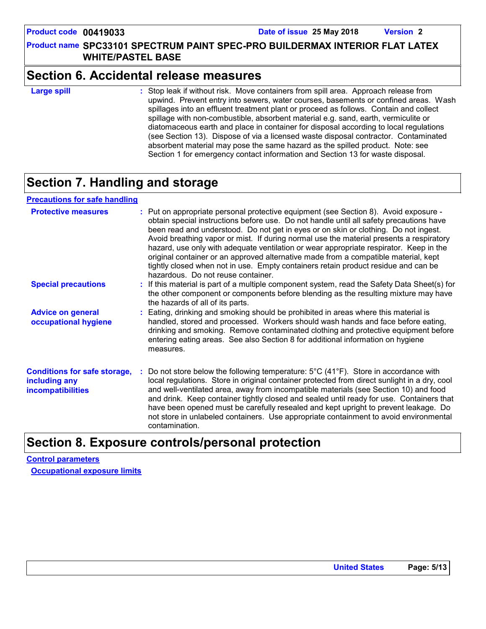### **Section 6. Accidental release measures**

**Large spill :**

: Stop leak if without risk. Move containers from spill area. Approach release from upwind. Prevent entry into sewers, water courses, basements or confined areas. Wash spillages into an effluent treatment plant or proceed as follows. Contain and collect spillage with non-combustible, absorbent material e.g. sand, earth, vermiculite or diatomaceous earth and place in container for disposal according to local regulations (see Section 13). Dispose of via a licensed waste disposal contractor. Contaminated absorbent material may pose the same hazard as the spilled product. Note: see Section 1 for emergency contact information and Section 13 for waste disposal.

### **Section 7. Handling and storage**

#### **Precautions for safe handling**

| <b>Protective measures</b>                                                       | : Put on appropriate personal protective equipment (see Section 8). Avoid exposure -<br>obtain special instructions before use. Do not handle until all safety precautions have<br>been read and understood. Do not get in eyes or on skin or clothing. Do not ingest.<br>Avoid breathing vapor or mist. If during normal use the material presents a respiratory<br>hazard, use only with adequate ventilation or wear appropriate respirator. Keep in the<br>original container or an approved alternative made from a compatible material, kept<br>tightly closed when not in use. Empty containers retain product residue and can be<br>hazardous. Do not reuse container. |
|----------------------------------------------------------------------------------|--------------------------------------------------------------------------------------------------------------------------------------------------------------------------------------------------------------------------------------------------------------------------------------------------------------------------------------------------------------------------------------------------------------------------------------------------------------------------------------------------------------------------------------------------------------------------------------------------------------------------------------------------------------------------------|
| <b>Special precautions</b>                                                       | : If this material is part of a multiple component system, read the Safety Data Sheet(s) for<br>the other component or components before blending as the resulting mixture may have<br>the hazards of all of its parts.                                                                                                                                                                                                                                                                                                                                                                                                                                                        |
| <b>Advice on general</b><br>occupational hygiene                                 | : Eating, drinking and smoking should be prohibited in areas where this material is<br>handled, stored and processed. Workers should wash hands and face before eating,<br>drinking and smoking. Remove contaminated clothing and protective equipment before<br>entering eating areas. See also Section 8 for additional information on hygiene<br>measures.                                                                                                                                                                                                                                                                                                                  |
| <b>Conditions for safe storage,</b><br>including any<br><i>incompatibilities</i> | Do not store below the following temperature: $5^{\circ}$ C (41 <sup>°</sup> F). Store in accordance with<br>local regulations. Store in original container protected from direct sunlight in a dry, cool<br>and well-ventilated area, away from incompatible materials (see Section 10) and food<br>and drink. Keep container tightly closed and sealed until ready for use. Containers that<br>have been opened must be carefully resealed and kept upright to prevent leakage. Do<br>not store in unlabeled containers. Use appropriate containment to avoid environmental<br>contamination.                                                                                |

### **Section 8. Exposure controls/personal protection**

**Control parameters Occupational exposure limits**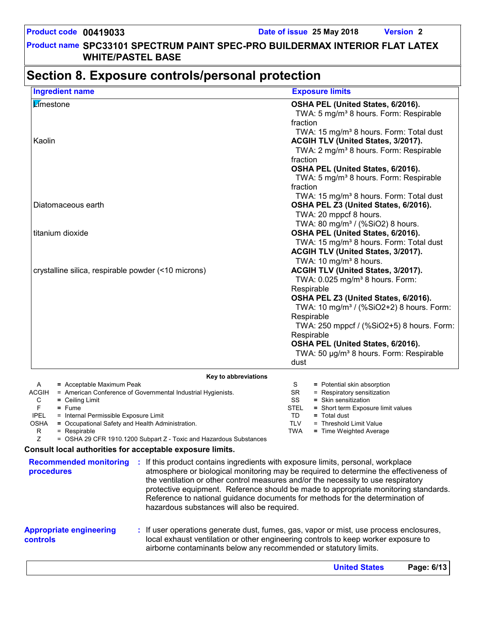#### **Section 8. Exposure controls/personal protection** Limestone **OSHA PEL (United States, 6/2016).** TWA: 5 mg/m<sup>3</sup> 8 hours. Form: Respirable fraction TWA: 15 mg/m<sup>3</sup> 8 hours. Form: Total dust Kaolin **ACGIH TLV (United States, 3/2017).** TWA: 2 mg/m<sup>3</sup> 8 hours. Form: Respirable fraction **OSHA PEL (United States, 6/2016).** TWA: 5 mg/m<sup>3</sup> 8 hours. Form: Respirable fraction TWA: 15 mg/m<sup>3</sup> 8 hours. Form: Total dust Diatomaceous earth **OSHA PEL Z3 (United States, 6/2016).** TWA: 20 mppcf 8 hours. TWA: 80 mg/m<sup>3</sup> / (%SiO2) 8 hours. titanium dioxide **OSHA PEL (United States, 6/2016).** TWA: 15 mg/m<sup>3</sup> 8 hours. Form: Total dust **ACGIH TLV (United States, 3/2017).** TWA:  $10 \text{ mg/m}^3$  8 hours. crystalline silica, respirable powder (<10 microns) **ACGIH TLV (United States, 3/2017).** TWA:  $0.025$  mg/m $3$  8 hours. Form: Respirable **OSHA PEL Z3 (United States, 6/2016).** TWA: 10 mg/m<sup>3</sup> / (%SiO2+2) 8 hours. Form: **Respirable**  TWA: 250 mppcf / (%SiO2+5) 8 hours. Form: Respirable **OSHA PEL (United States, 6/2016).** TWA: 50 µg/m<sup>3</sup> 8 hours. Form: Respirable dust **Ingredient name Exposure limits Appropriate engineering controls :** If user operations generate dust, fumes, gas, vapor or mist, use process enclosures, local exhaust ventilation or other engineering controls to keep worker exposure to **Recommended monitoring :** If this product contains ingredients with exposure limits, personal, workplace **procedures** atmosphere or biological monitoring may be required to determine the effectiveness of the ventilation or other control measures and/or the necessity to use respiratory protective equipment. Reference should be made to appropriate monitoring standards. Reference to national guidance documents for methods for the determination of hazardous substances will also be required. **Key to abbreviations** A **=** Acceptable Maximum Peak ACGIH = American Conference of Governmental Industrial Hygienists. C **=** Ceiling Limit S = Potential skin absorption SR = Respiratory sensitization SS **=** Skin sensitization TD **=** Total dust **Consult local authorities for acceptable exposure limits.** TLV = Threshold Limit Value TWA **=** Time Weighted Average F **=** Fume IPEL = Internal Permissible Exposure Limit OSHA **=** Occupational Safety and Health Administration. R = Respirable  $Z = OSHA 29 CFR 1910.1200 Subpart Z - Toxic and Hazardous Substances$ STEL **=** Short term Exposure limit values

airborne contaminants below any recommended or statutory limits.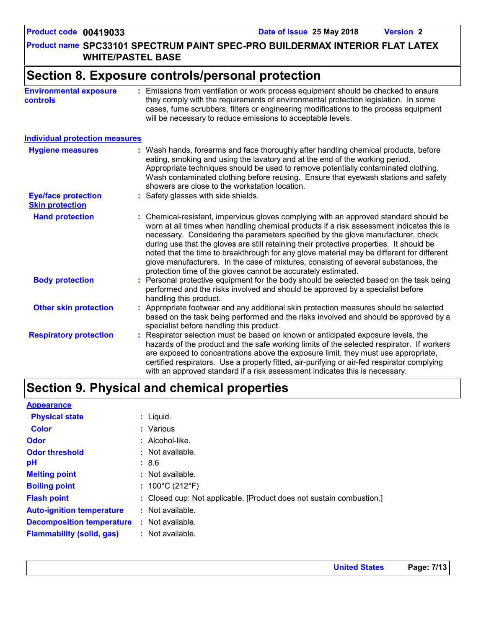**Product name SPC33101 SPECTRUM PAINT SPEC-PRO BUILDERMAX INTERIOR FLAT LATEX WHITE/PASTEL BASE**

### **Section 8. Exposure controls/personal protection**

| <b>Environmental exposure</b> | Emissions from ventilation or work process equipment should be checked to ensure                                                                                                                                                          |
|-------------------------------|-------------------------------------------------------------------------------------------------------------------------------------------------------------------------------------------------------------------------------------------|
| <b>controls</b>               | they comply with the requirements of environmental protection legislation. In some<br>cases, fume scrubbers, filters or engineering modifications to the process equipment<br>will be necessary to reduce emissions to acceptable levels. |
|                               |                                                                                                                                                                                                                                           |
|                               |                                                                                                                                                                                                                                           |

#### **Individual protection measures**

| <b>Hygiene measures</b>                              | : Wash hands, forearms and face thoroughly after handling chemical products, before<br>eating, smoking and using the lavatory and at the end of the working period.<br>Appropriate techniques should be used to remove potentially contaminated clothing.<br>Wash contaminated clothing before reusing. Ensure that eyewash stations and safety<br>showers are close to the workstation location.                                                                                                                                                                                                                      |
|------------------------------------------------------|------------------------------------------------------------------------------------------------------------------------------------------------------------------------------------------------------------------------------------------------------------------------------------------------------------------------------------------------------------------------------------------------------------------------------------------------------------------------------------------------------------------------------------------------------------------------------------------------------------------------|
| <b>Eye/face protection</b><br><b>Skin protection</b> | : Safety glasses with side shields.                                                                                                                                                                                                                                                                                                                                                                                                                                                                                                                                                                                    |
| <b>Hand protection</b>                               | : Chemical-resistant, impervious gloves complying with an approved standard should be<br>worn at all times when handling chemical products if a risk assessment indicates this is<br>necessary. Considering the parameters specified by the glove manufacturer, check<br>during use that the gloves are still retaining their protective properties. It should be<br>noted that the time to breakthrough for any glove material may be different for different<br>glove manufacturers. In the case of mixtures, consisting of several substances, the<br>protection time of the gloves cannot be accurately estimated. |
| <b>Body protection</b>                               | : Personal protective equipment for the body should be selected based on the task being<br>performed and the risks involved and should be approved by a specialist before<br>handling this product.                                                                                                                                                                                                                                                                                                                                                                                                                    |
| <b>Other skin protection</b>                         | : Appropriate footwear and any additional skin protection measures should be selected<br>based on the task being performed and the risks involved and should be approved by a<br>specialist before handling this product.                                                                                                                                                                                                                                                                                                                                                                                              |
| <b>Respiratory protection</b>                        | : Respirator selection must be based on known or anticipated exposure levels, the<br>hazards of the product and the safe working limits of the selected respirator. If workers<br>are exposed to concentrations above the exposure limit, they must use appropriate,<br>certified respirators. Use a properly fitted, air-purifying or air-fed respirator complying<br>with an approved standard if a risk assessment indicates this is necessary.                                                                                                                                                                     |

### **Section 9. Physical and chemical properties**

| <b>Appearance</b>                |                                                                      |
|----------------------------------|----------------------------------------------------------------------|
| <b>Physical state</b>            | $:$ Liquid.                                                          |
| <b>Color</b>                     | : Various                                                            |
| <b>Odor</b>                      | $:$ Alcohol-like.                                                    |
| <b>Odor threshold</b>            | $:$ Not available.                                                   |
| рH                               | : 8.6                                                                |
| <b>Melting point</b>             | : Not available.                                                     |
| <b>Boiling point</b>             | : $100^{\circ}$ C (212 $^{\circ}$ F)                                 |
| <b>Flash point</b>               | : Closed cup: Not applicable. [Product does not sustain combustion.] |
| <b>Auto-ignition temperature</b> | $:$ Not available.                                                   |
| <b>Decomposition temperature</b> | $:$ Not available.                                                   |
| <b>Flammability (solid, gas)</b> | : Not available.                                                     |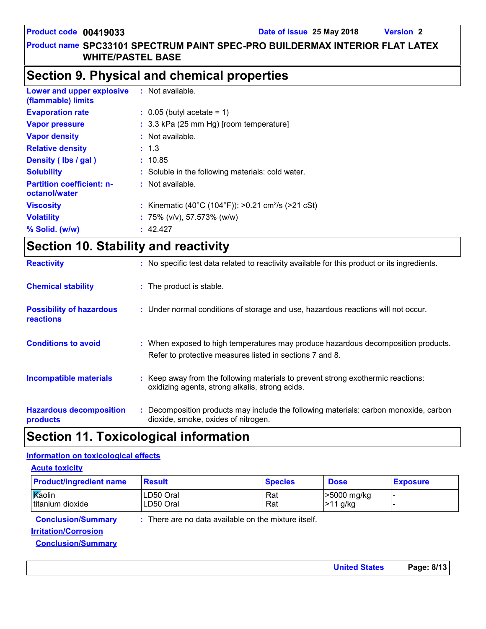**United States Page: 8/13**

#### **Product name SPC33101 SPECTRUM PAINT SPEC-PRO BUILDERMAX INTERIOR FLAT LATEX WHITE/PASTEL BASE**

### **Section 9. Physical and chemical properties**

| Lower and upper explosive<br>(flammable) limits   | $:$ Not available.                                             |
|---------------------------------------------------|----------------------------------------------------------------|
| <b>Evaporation rate</b>                           | $\therefore$ 0.05 (butyl acetate = 1)                          |
| <b>Vapor pressure</b>                             | : 3.3 kPa (25 mm Hg) [room temperature]                        |
| <b>Vapor density</b>                              | : Not available.                                               |
| <b>Relative density</b>                           | : 1.3                                                          |
| Density (lbs / gal)                               | : 10.85                                                        |
| <b>Solubility</b>                                 | : Soluble in the following materials: cold water.              |
| <b>Partition coefficient: n-</b><br>octanol/water | $:$ Not available.                                             |
| <b>Viscosity</b>                                  | : Kinematic (40°C (104°F)): >0.21 cm <sup>2</sup> /s (>21 cSt) |
| <b>Volatility</b>                                 | : 75% (v/v), 57.573% (w/w)                                     |
| $%$ Solid. (w/w)                                  | : 42.427                                                       |

## **Section 10. Stability and reactivity**

| <b>Reactivity</b>                            | : No specific test data related to reactivity available for this product or its ingredients.                                                  |
|----------------------------------------------|-----------------------------------------------------------------------------------------------------------------------------------------------|
| <b>Chemical stability</b>                    | : The product is stable.                                                                                                                      |
| <b>Possibility of hazardous</b><br>reactions | : Under normal conditions of storage and use, hazardous reactions will not occur.                                                             |
| <b>Conditions to avoid</b>                   | : When exposed to high temperatures may produce hazardous decomposition products.<br>Refer to protective measures listed in sections 7 and 8. |
| <b>Incompatible materials</b>                | : Keep away from the following materials to prevent strong exothermic reactions:<br>oxidizing agents, strong alkalis, strong acids.           |
| <b>Hazardous decomposition</b><br>products   | Decomposition products may include the following materials: carbon monoxide, carbon<br>dioxide, smoke, oxides of nitrogen.                    |

### **Section 11. Toxicological information**

#### **Information on toxicological effects**

| <b>Product/ingredient name</b>                                                        | <b>Result</b>                                      | <b>Species</b> | <b>Dose</b>               | <b>Exposure</b> |
|---------------------------------------------------------------------------------------|----------------------------------------------------|----------------|---------------------------|-----------------|
| Kaolin<br>titanium dioxide                                                            | LD50 Oral<br>LD50 Oral                             | Rat<br>Rat     | >5000 mg/kg<br>$>11$ g/kg |                 |
| <b>Conclusion/Summary</b><br><b>Irritation/Corrosion</b><br><b>Conclusion/Summary</b> | There are no data available on the mixture itself. |                |                           |                 |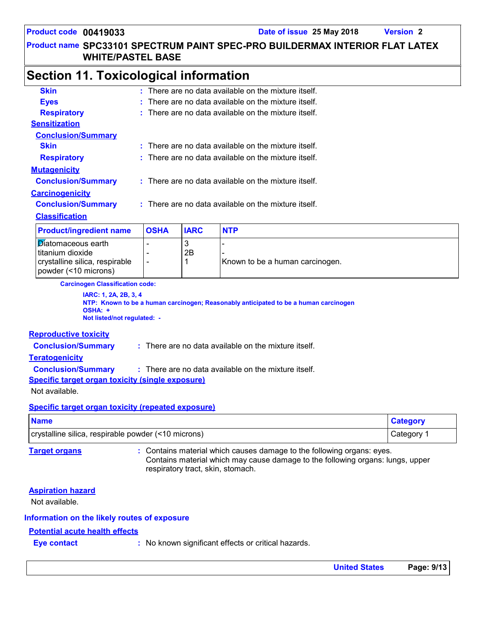### **Section 11. Toxicological information**

| <b>Skin</b>                    |  |                                                                 |             | $:$ There are no data available on the mixture itself. |  |  |
|--------------------------------|--|-----------------------------------------------------------------|-------------|--------------------------------------------------------|--|--|
| <b>Eyes</b>                    |  |                                                                 |             | $:$ There are no data available on the mixture itself. |  |  |
| <b>Respiratory</b>             |  | $\therefore$ There are no data available on the mixture itself. |             |                                                        |  |  |
| <b>Sensitization</b>           |  |                                                                 |             |                                                        |  |  |
| <b>Conclusion/Summary</b>      |  |                                                                 |             |                                                        |  |  |
| <b>Skin</b>                    |  |                                                                 |             | $:$ There are no data available on the mixture itself. |  |  |
| <b>Respiratory</b>             |  | $:$ There are no data available on the mixture itself.          |             |                                                        |  |  |
| <b>Mutagenicity</b>            |  |                                                                 |             |                                                        |  |  |
| <b>Conclusion/Summary</b>      |  |                                                                 |             | $:$ There are no data available on the mixture itself. |  |  |
| <b>Carcinogenicity</b>         |  |                                                                 |             |                                                        |  |  |
| <b>Conclusion/Summary</b>      |  |                                                                 |             | : There are no data available on the mixture itself.   |  |  |
| <b>Classification</b>          |  |                                                                 |             |                                                        |  |  |
| <b>Product/ingredient name</b> |  | <b>OSHA</b>                                                     | <b>IARC</b> | <b>NTP</b>                                             |  |  |
| <b>Diatomaceous earth</b>      |  |                                                                 | 3           |                                                        |  |  |

| Product/ingredient name        | <b>IOSHA</b> | <b>IARC</b> | NIP                             |
|--------------------------------|--------------|-------------|---------------------------------|
| Diatomaceous earth             |              |             |                                 |
| titanium dioxide               |              | 2B          |                                 |
| crystalline silica, respirable |              |             | Known to be a human carcinogen. |
| powder (<10 microns)           |              |             |                                 |

**Carcinogen Classification code:**

**IARC: 1, 2A, 2B, 3, 4 NTP: Known to be a human carcinogen; Reasonably anticipated to be a human carcinogen OSHA: + Not listed/not regulated: -**

#### **Reproductive toxicity**

**Conclusion/Summary :** There are no data available on the mixture itself.

#### **Teratogenicity**

**Conclusion/Summary :** There are no data available on the mixture itself.

**Specific target organ toxicity (single exposure)**

Not available.

#### **Specific target organ toxicity (repeated exposure)**

| <b>Name</b>                                         | <b>Category</b> |
|-----------------------------------------------------|-----------------|
| crystalline silica, respirable powder (<10 microns) | ∵ategoryٽ       |

**Target organs :** Contains material which causes damage to the following organs: eyes. Contains material which may cause damage to the following organs: lungs, upper respiratory tract, skin, stomach.

#### **Aspiration hazard**

Not available.

#### **Information on the likely routes of exposure**

#### **Potential acute health effects**

**Eye contact Exercise :** No known significant effects or critical hazards.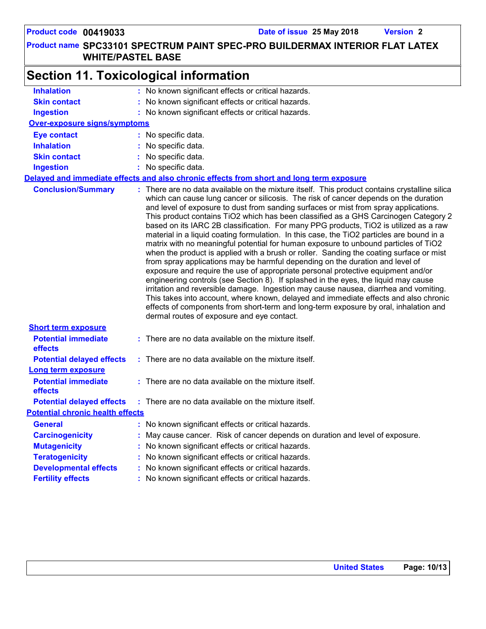|                                         | <b>Section 11. Toxicological information</b>                                                                                                                                                                                                                                                                                                                                                                                                                                                                                                                                                                                                                                                                                                                                                                                                                                                                                                                                                                                                                                                                                                                                                                                                                                                                                   |
|-----------------------------------------|--------------------------------------------------------------------------------------------------------------------------------------------------------------------------------------------------------------------------------------------------------------------------------------------------------------------------------------------------------------------------------------------------------------------------------------------------------------------------------------------------------------------------------------------------------------------------------------------------------------------------------------------------------------------------------------------------------------------------------------------------------------------------------------------------------------------------------------------------------------------------------------------------------------------------------------------------------------------------------------------------------------------------------------------------------------------------------------------------------------------------------------------------------------------------------------------------------------------------------------------------------------------------------------------------------------------------------|
| <b>Inhalation</b>                       | : No known significant effects or critical hazards.                                                                                                                                                                                                                                                                                                                                                                                                                                                                                                                                                                                                                                                                                                                                                                                                                                                                                                                                                                                                                                                                                                                                                                                                                                                                            |
| <b>Skin contact</b>                     | : No known significant effects or critical hazards.                                                                                                                                                                                                                                                                                                                                                                                                                                                                                                                                                                                                                                                                                                                                                                                                                                                                                                                                                                                                                                                                                                                                                                                                                                                                            |
| <b>Ingestion</b>                        | : No known significant effects or critical hazards.                                                                                                                                                                                                                                                                                                                                                                                                                                                                                                                                                                                                                                                                                                                                                                                                                                                                                                                                                                                                                                                                                                                                                                                                                                                                            |
| <b>Over-exposure signs/symptoms</b>     |                                                                                                                                                                                                                                                                                                                                                                                                                                                                                                                                                                                                                                                                                                                                                                                                                                                                                                                                                                                                                                                                                                                                                                                                                                                                                                                                |
| <b>Eye contact</b>                      | : No specific data.                                                                                                                                                                                                                                                                                                                                                                                                                                                                                                                                                                                                                                                                                                                                                                                                                                                                                                                                                                                                                                                                                                                                                                                                                                                                                                            |
| <b>Inhalation</b>                       | : No specific data.                                                                                                                                                                                                                                                                                                                                                                                                                                                                                                                                                                                                                                                                                                                                                                                                                                                                                                                                                                                                                                                                                                                                                                                                                                                                                                            |
| <b>Skin contact</b>                     | : No specific data.                                                                                                                                                                                                                                                                                                                                                                                                                                                                                                                                                                                                                                                                                                                                                                                                                                                                                                                                                                                                                                                                                                                                                                                                                                                                                                            |
| <b>Ingestion</b>                        | : No specific data.                                                                                                                                                                                                                                                                                                                                                                                                                                                                                                                                                                                                                                                                                                                                                                                                                                                                                                                                                                                                                                                                                                                                                                                                                                                                                                            |
|                                         | Delayed and immediate effects and also chronic effects from short and long term exposure                                                                                                                                                                                                                                                                                                                                                                                                                                                                                                                                                                                                                                                                                                                                                                                                                                                                                                                                                                                                                                                                                                                                                                                                                                       |
| <b>Conclusion/Summary</b>               | : There are no data available on the mixture itself. This product contains crystalline silica<br>which can cause lung cancer or silicosis. The risk of cancer depends on the duration<br>and level of exposure to dust from sanding surfaces or mist from spray applications.<br>This product contains TiO2 which has been classified as a GHS Carcinogen Category 2<br>based on its IARC 2B classification. For many PPG products, TiO2 is utilized as a raw<br>material in a liquid coating formulation. In this case, the TiO2 particles are bound in a<br>matrix with no meaningful potential for human exposure to unbound particles of TiO2<br>when the product is applied with a brush or roller. Sanding the coating surface or mist<br>from spray applications may be harmful depending on the duration and level of<br>exposure and require the use of appropriate personal protective equipment and/or<br>engineering controls (see Section 8). If splashed in the eyes, the liquid may cause<br>irritation and reversible damage. Ingestion may cause nausea, diarrhea and vomiting.<br>This takes into account, where known, delayed and immediate effects and also chronic<br>effects of components from short-term and long-term exposure by oral, inhalation and<br>dermal routes of exposure and eye contact. |
| <b>Short term exposure</b>              |                                                                                                                                                                                                                                                                                                                                                                                                                                                                                                                                                                                                                                                                                                                                                                                                                                                                                                                                                                                                                                                                                                                                                                                                                                                                                                                                |
| <b>Potential immediate</b><br>effects   | : There are no data available on the mixture itself.                                                                                                                                                                                                                                                                                                                                                                                                                                                                                                                                                                                                                                                                                                                                                                                                                                                                                                                                                                                                                                                                                                                                                                                                                                                                           |
| <b>Potential delayed effects</b>        | : There are no data available on the mixture itself.                                                                                                                                                                                                                                                                                                                                                                                                                                                                                                                                                                                                                                                                                                                                                                                                                                                                                                                                                                                                                                                                                                                                                                                                                                                                           |
| <b>Long term exposure</b>               |                                                                                                                                                                                                                                                                                                                                                                                                                                                                                                                                                                                                                                                                                                                                                                                                                                                                                                                                                                                                                                                                                                                                                                                                                                                                                                                                |
| <b>Potential immediate</b><br>effects   | : There are no data available on the mixture itself.                                                                                                                                                                                                                                                                                                                                                                                                                                                                                                                                                                                                                                                                                                                                                                                                                                                                                                                                                                                                                                                                                                                                                                                                                                                                           |
| <b>Potential delayed effects</b>        | : There are no data available on the mixture itself.                                                                                                                                                                                                                                                                                                                                                                                                                                                                                                                                                                                                                                                                                                                                                                                                                                                                                                                                                                                                                                                                                                                                                                                                                                                                           |
| <b>Potential chronic health effects</b> |                                                                                                                                                                                                                                                                                                                                                                                                                                                                                                                                                                                                                                                                                                                                                                                                                                                                                                                                                                                                                                                                                                                                                                                                                                                                                                                                |
| <b>General</b>                          | : No known significant effects or critical hazards.                                                                                                                                                                                                                                                                                                                                                                                                                                                                                                                                                                                                                                                                                                                                                                                                                                                                                                                                                                                                                                                                                                                                                                                                                                                                            |
| <b>Carcinogenicity</b>                  | : May cause cancer. Risk of cancer depends on duration and level of exposure.                                                                                                                                                                                                                                                                                                                                                                                                                                                                                                                                                                                                                                                                                                                                                                                                                                                                                                                                                                                                                                                                                                                                                                                                                                                  |
| <b>Mutagenicity</b>                     | : No known significant effects or critical hazards.                                                                                                                                                                                                                                                                                                                                                                                                                                                                                                                                                                                                                                                                                                                                                                                                                                                                                                                                                                                                                                                                                                                                                                                                                                                                            |
| <b>Teratogenicity</b>                   | No known significant effects or critical hazards.                                                                                                                                                                                                                                                                                                                                                                                                                                                                                                                                                                                                                                                                                                                                                                                                                                                                                                                                                                                                                                                                                                                                                                                                                                                                              |
| <b>Developmental effects</b>            | No known significant effects or critical hazards.                                                                                                                                                                                                                                                                                                                                                                                                                                                                                                                                                                                                                                                                                                                                                                                                                                                                                                                                                                                                                                                                                                                                                                                                                                                                              |
| <b>Fertility effects</b>                | No known significant effects or critical hazards.                                                                                                                                                                                                                                                                                                                                                                                                                                                                                                                                                                                                                                                                                                                                                                                                                                                                                                                                                                                                                                                                                                                                                                                                                                                                              |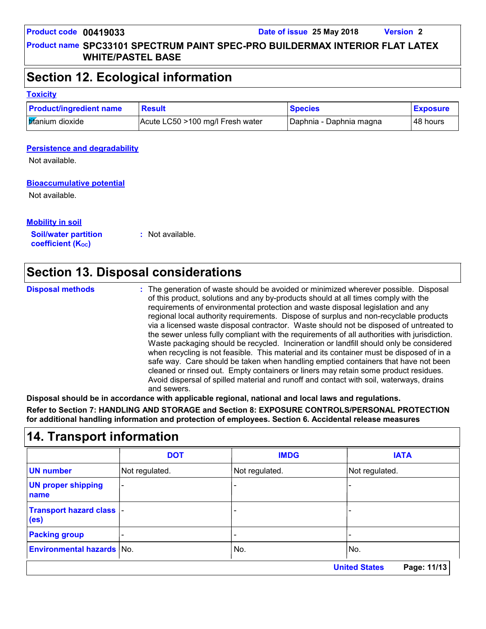**Product name SPC33101 SPECTRUM PAINT SPEC-PRO BUILDERMAX INTERIOR FLAT LATEX WHITE/PASTEL BASE**

### **Section 12. Ecological information**

#### **Toxicity**

| <b>Product/ingredient name</b> | <b>Result</b>                    | <b>Species</b>          | <b>Exposure</b> |
|--------------------------------|----------------------------------|-------------------------|-----------------|
| <b>tifanium</b> dioxide        | Acute LC50 >100 mg/l Fresh water | Daphnia - Daphnia magna | ∣48 hours       |

#### **Persistence and degradability**

Not available.

#### **Bioaccumulative potential**

Not available.

### **Mobility in soil**

**Soil/water partition coefficient (Koc)** 

**:** Not available.

### **Section 13. Disposal considerations**

**Disposal methods :**

The generation of waste should be avoided or minimized wherever possible. Disposal of this product, solutions and any by-products should at all times comply with the requirements of environmental protection and waste disposal legislation and any regional local authority requirements. Dispose of surplus and non-recyclable products via a licensed waste disposal contractor. Waste should not be disposed of untreated to the sewer unless fully compliant with the requirements of all authorities with jurisdiction. Waste packaging should be recycled. Incineration or landfill should only be considered when recycling is not feasible. This material and its container must be disposed of in a safe way. Care should be taken when handling emptied containers that have not been cleaned or rinsed out. Empty containers or liners may retain some product residues. Avoid dispersal of spilled material and runoff and contact with soil, waterways, drains and sewers.

**Disposal should be in accordance with applicable regional, national and local laws and regulations.**

**Refer to Section 7: HANDLING AND STORAGE and Section 8: EXPOSURE CONTROLS/PERSONAL PROTECTION for additional handling information and protection of employees. Section 6. Accidental release measures**

### **14. Transport information**

|                                                | <b>DOT</b>                          | <b>IMDG</b>              | <b>IATA</b>    |  |  |
|------------------------------------------------|-------------------------------------|--------------------------|----------------|--|--|
| <b>UN number</b>                               | Not regulated.                      | Not regulated.           | Not regulated. |  |  |
| <b>UN proper shipping</b><br>name              |                                     |                          |                |  |  |
| Transport hazard class  -<br>(e <sub>s</sub> ) |                                     |                          |                |  |  |
| <b>Packing group</b>                           |                                     | $\overline{\phantom{0}}$ |                |  |  |
| <b>Environmental hazards No.</b>               |                                     | No.                      | No.            |  |  |
|                                                | <b>United States</b><br>Page: 11/13 |                          |                |  |  |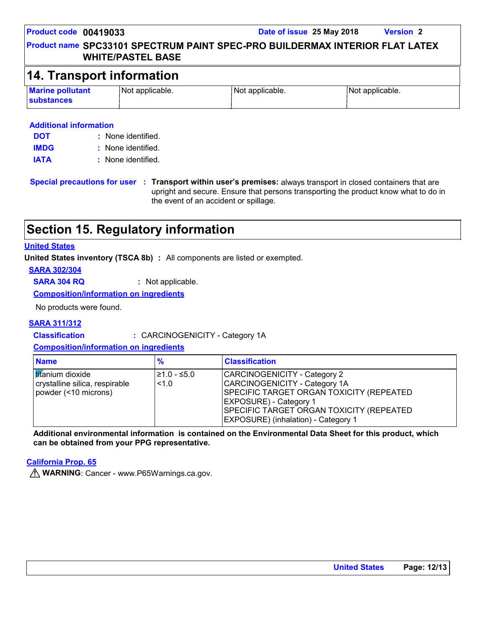### **Product name SPC33101 SPECTRUM PAINT SPEC-PRO BUILDERMAX INTERIOR FLAT LATEX WHITE/PASTEL BASE**

### **14. Transport information**

| <b>Marine pollutant</b> | Not applicable. | Not applicable. | Not applicable. |
|-------------------------|-----------------|-----------------|-----------------|
| <b>substances</b>       |                 |                 |                 |

#### **Additional information**

| <b>DOT</b>  | : None identified. |
|-------------|--------------------|
| <b>IMDG</b> | : None identified. |
| <b>IATA</b> | : None identified. |

**Special precautions for user Transport within user's premises:** always transport in closed containers that are **:** upright and secure. Ensure that persons transporting the product know what to do in the event of an accident or spillage.

### **Section 15. Regulatory information**

#### **United States**

**United States inventory (TSCA 8b) :** All components are listed or exempted.

#### **SARA 302/304**

**SARA 304 RQ :** Not applicable.

**Composition/information on ingredients**

No products were found.

#### **SARA 311/312**

**Classification :** CARCINOGENICITY - Category 1A

**Composition/information on ingredients**

| <b>Name</b>                                                                       | $\frac{9}{6}$       | <b>Classification</b>                                                                                                                                                                                                                 |
|-----------------------------------------------------------------------------------|---------------------|---------------------------------------------------------------------------------------------------------------------------------------------------------------------------------------------------------------------------------------|
| <b>tifanium</b> dioxide<br>crystalline silica, respirable<br>powder (<10 microns) | l≥1.0 - ≤5.0<br>1.0 | CARCINOGENICITY - Category 2<br>CARCINOGENICITY - Category 1A<br>SPECIFIC TARGET ORGAN TOXICITY (REPEATED<br><b>EXPOSURE</b> ) - Category 1<br>SPECIFIC TARGET ORGAN TOXICITY (REPEATED<br><b>EXPOSURE)</b> (inhalation) - Category 1 |

**Additional environmental information is contained on the Environmental Data Sheet for this product, which can be obtained from your PPG representative.**

#### **California Prop. 65**

**WARNING**: Cancer - www.P65Warnings.ca.gov.